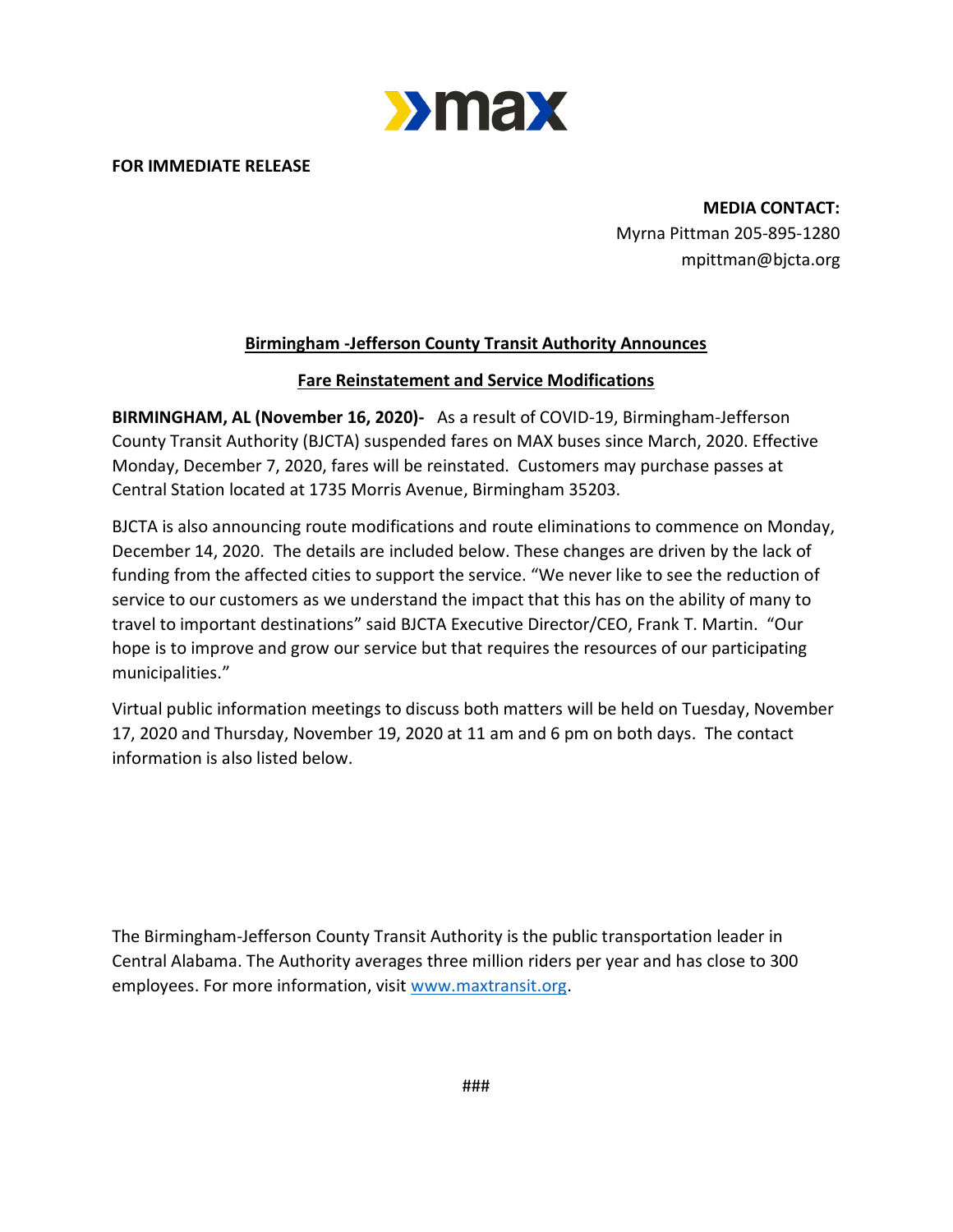

**FOR IMMEDIATE RELEASE**

**MEDIA CONTACT:** Myrna Pittman 205-895-1280 mpittman@bjcta.org

#### **Birmingham -Jefferson County Transit Authority Announces**

#### **Fare Reinstatement and Service Modifications**

**BIRMINGHAM, AL (November 16, 2020)-** As a result of COVID-19, Birmingham-Jefferson County Transit Authority (BJCTA) suspended fares on MAX buses since March, 2020. Effective Monday, December 7, 2020, fares will be reinstated. Customers may purchase passes at Central Station located at 1735 Morris Avenue, Birmingham 35203.

BJCTA is also announcing route modifications and route eliminations to commence on Monday, December 14, 2020. The details are included below. These changes are driven by the lack of funding from the affected cities to support the service. "We never like to see the reduction of service to our customers as we understand the impact that this has on the ability of many to travel to important destinations" said BJCTA Executive Director/CEO, Frank T. Martin. "Our hope is to improve and grow our service but that requires the resources of our participating municipalities."

Virtual public information meetings to discuss both matters will be held on Tuesday, November 17, 2020 and Thursday, November 19, 2020 at 11 am and 6 pm on both days. The contact information is also listed below.

The Birmingham-Jefferson County Transit Authority is the public transportation leader in Central Alabama. The Authority averages three million riders per year and has close to 300 employees. For more information, visit [www.maxtransit.org.](http://www.maxtransit.org/)